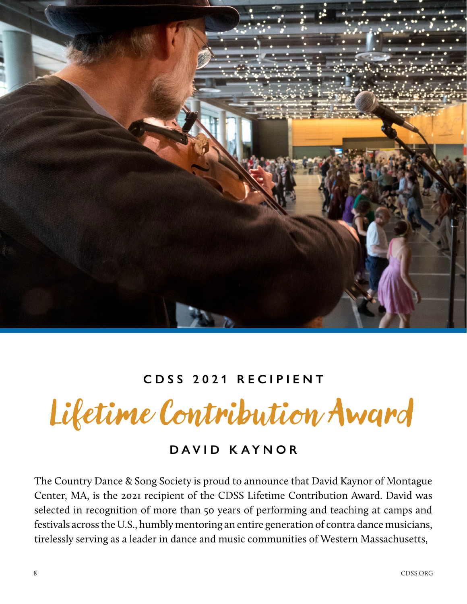

## **CDSS 2021 RECIPIENT**

Lifetime Contribution Award

## **DAVID KAYNOR**

The Country Dance & Song Society is proud to announce that David Kaynor of Montague Center, MA, is the 2021 recipient of the CDSS Lifetime Contribution Award. David was selected in recognition of more than 50 years of performing and teaching at camps and festivals across the U.S., humbly mentoring an entire generation of contra dance musicians, tirelessly serving as a leader in dance and music communities of Western Massachusetts,